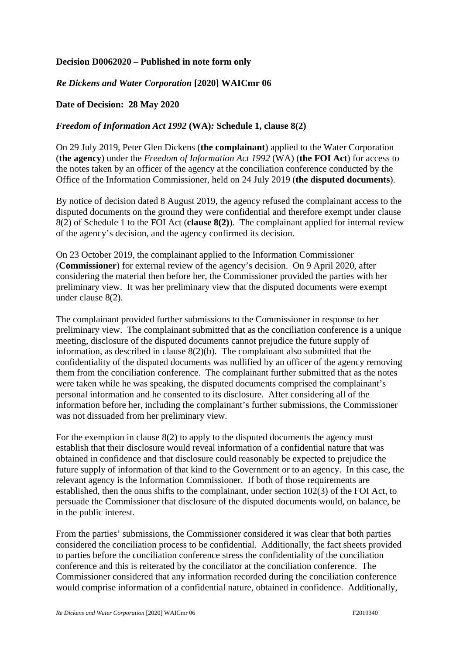## **Decision D0062020 – Published in note form only**

## *Re Dickens and Water Corporation* **[2020] WAICmr 06**

## **Date of Decision: 28 May 2020**

## *Freedom of Information Act 1992* **(WA)***:* **Schedule 1, clause 8(2)**

On 29 July 2019, Peter Glen Dickens (**the complainant**) applied to the Water Corporation (**the agency**) under the *Freedom of Information Act 1992* (WA) (**the FOI Act**) for access to the notes taken by an officer of the agency at the conciliation conference conducted by the Office of the Information Commissioner, held on 24 July 2019 (**the disputed documents**).

By notice of decision dated 8 August 2019, the agency refused the complainant access to the disputed documents on the ground they were confidential and therefore exempt under clause 8(2) of Schedule 1 to the FOI Act (**clause 8(2)**). The complainant applied for internal review of the agency's decision, and the agency confirmed its decision.

On 23 October 2019, the complainant applied to the Information Commissioner (**Commissioner**) for external review of the agency's decision. On 9 April 2020, after considering the material then before her, the Commissioner provided the parties with her preliminary view. It was her preliminary view that the disputed documents were exempt under clause 8(2).

The complainant provided further submissions to the Commissioner in response to her preliminary view. The complainant submitted that as the conciliation conference is a unique meeting, disclosure of the disputed documents cannot prejudice the future supply of information, as described in clause 8(2)(b). The complainant also submitted that the confidentiality of the disputed documents was nullified by an officer of the agency removing them from the conciliation conference. The complainant further submitted that as the notes were taken while he was speaking, the disputed documents comprised the complainant's personal information and he consented to its disclosure. After considering all of the information before her, including the complainant's further submissions, the Commissioner was not dissuaded from her preliminary view.

For the exemption in clause 8(2) to apply to the disputed documents the agency must establish that their disclosure would reveal information of a confidential nature that was obtained in confidence and that disclosure could reasonably be expected to prejudice the future supply of information of that kind to the Government or to an agency. In this case, the relevant agency is the Information Commissioner. If both of those requirements are established, then the onus shifts to the complainant, under section 102(3) of the FOI Act, to persuade the Commissioner that disclosure of the disputed documents would, on balance, be in the public interest.

From the parties' submissions, the Commissioner considered it was clear that both parties considered the conciliation process to be confidential. Additionally, the fact sheets provided to parties before the conciliation conference stress the confidentiality of the conciliation conference and this is reiterated by the conciliator at the conciliation conference. The Commissioner considered that any information recorded during the conciliation conference would comprise information of a confidential nature, obtained in confidence. Additionally,